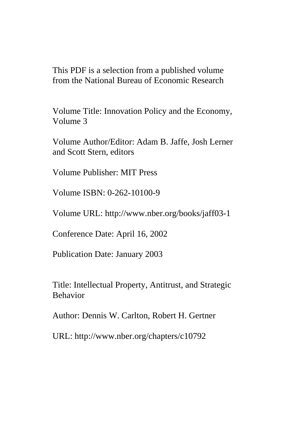This PDF is a selection from a published volume from the National Bureau of Economic Research

Volume Title: Innovation Policy and the Economy, Volume 3

Volume Author/Editor: Adam B. Jaffe, Josh Lerner and Scott Stern, editors

Volume Publisher: MIT Press

Volume ISBN: 0-262-10100-9

Volume URL: http://www.nber.org/books/jaff03-1

Conference Date: April 16, 2002

Publication Date: January 2003

Title: Intellectual Property, Antitrust, and Strategic Behavior

Author: Dennis W. Carlton, Robert H. Gertner

URL: http://www.nber.org/chapters/c10792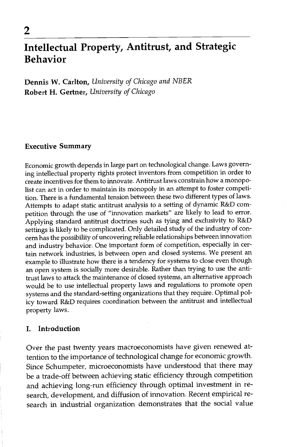# Intellectual Property, Antitrust, and Strategic Behavior

Dennis W. Carlton, University of Chicago and NBER Robert H. Gertner, University of Chicago

#### Executive Summary

Economic growth depends in large part on technological change. Laws governing intellectual property rights protect inventors from competition in order to create incentives for them to innovate. Antitrust laws constrain how a monopolist can act in order to maintain its monopoly in an attempt to foster competition. There is a fundamental tension between these two different types of laws. Attempts to adapt static antitrust analysis to a setting of dynamic R&D competition through the use of "innovation markets" are likely to lead to error. Applying standard antitrust doctrines such as tying and exclusivity to R&D settings is likely to be complicated. Only detailed study of the industry of concem has the possibility of uncovering reliable relationships between innovation and industry behavior. One important form of competition, especially in certain network industries, is between open and closed systems. We present an example to illustrate how there is a tendency for systems to close even though an open system is socially more desirable. Rather than trying to use the antitrust laws to attack the maintenance of closed systems, an alternative approach would be to use intellectual property laws and regulations to promote open systems and the standard-setting organizations that they require. Optimal policy toward R&D requires coordination between the antitrust and intellectual property laws.

# I. Introduction

Over the past twenty years macroeconomists have given renewed attention to the importance of technological change for economic growth. Since Schumpeter, microeconomists have understood that there may be a trade-off between achieving static efficiency through competition and achieving long-run efficiency through optimal investment in research, development, and diffusion of innovation. Recent empirical research in industrial organization demonstrates that the social value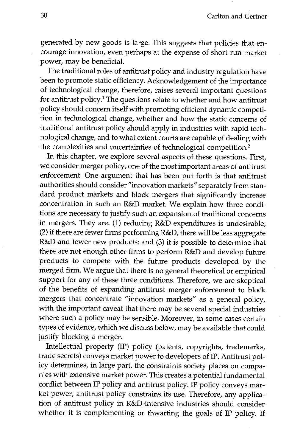30 Canton and Gertner

generated by new goods is large. This suggests that policies that encourage innovation, even perhaps at the expense of short-run market power, may be beneficial.

The traditional roles of antitrust policy and industry regulation have been to promote static efficiency. Acknowledgement of the importance of technological change, therefore, raises several important questions for antitrust policy.1 The questions relate to whether and how antitrust policy should concern itself with promoting efficient dynamic competition in technological change, whether and how the static concerns of traditional antitrust policy should apply in industries with rapid technological change, and to what extent courts are capable of dealing with the complexities and uncertainties of technological competition.<sup>2</sup>

In this chapter, we explore several aspects of these questions. First, we consider merger policy, one of the most important areas of antitrust enforcement. One argument that has been put forth is that antitrust authorities should consider "innovation markets" separately from standard product markets and block mergers that significantly increase concentration in such an R&D market. We explain how three conditions are necessary to justify such an expansion of traditional concerns in mergers. They are: (1) reducing R&D expenditures is undesirable; (2) if there are fewer firms performing R&D, there will be less aggregate R&D and fewer new products; and (3) it is possible to determine that there are not enough other firms to perform R&D and develop future products to compete with the future products developed by the merged firm. We argue that there is no general theoretical or empirical support for any of these three conditions. Therefore, we are skeptical of the benefits of expanding antitrust merger enforcement to block mergers that concentrate "innovation markets" as a general policy, with the important caveat that there may be several special industries where such a policy may be sensible. Moreover, in some cases certain types of evidence, which we discuss below, may be available that could justify blocking a merger.

Intellectual property (IP) policy (patents, copyrights, trademarks, trade secrets) conveys market power to developers of IP. Antitrust policy determines, in large part, the constraints society places on companies with extensive market power. This creates a potential fundamental conflict between IP policy and antitrust policy. IP policy conveys market power; antitrust policy constrains its use. Therefore, any application of antitrust policy in R&D-intensive industries should consider whether it is complementing or thwarting the goals of IP policy. If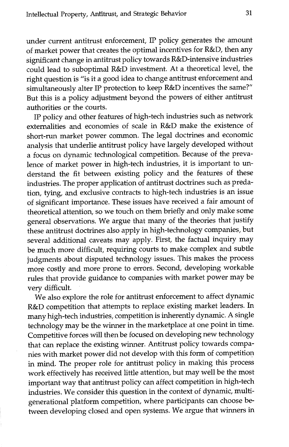under current antitrust enforcement, IF policy generates the amount of market power that creates the optimal incentives for R&D, then any significant change in antitrust policy towards R&D-intensive industries could lead to suboptimal R&D investment. At a theoretical level, the right question is "is it a good idea to change antitrust enforcement and simultaneously alter IF protection to keep R&D incentives the same?" But this is a policy adjustment beyond the powers of either antitrust authorities or the courts.

IP policy and other features of high-tech industries such as network externalities and economies of scale in R&D make the existence of short-run market power common. The legal doctrines and economic analysis that underlie antitrust policy have largely developed without a focus on dynamic technological competition. Because of the prevalence of market power in high-tech industries, it is important to understand the fit between existing policy and the features of these industries. The proper application of antitrust doctrines such as predation, tying, and exclusive contracts to high-tech industries is an issue of significant importance. These issues have received a fair amount of theoretical attention, so we touch on them briefly and only make some general observations. We argue that many of the theories that justify these antitrust doctrines also apply in high-technology companies, but several additional caveats may apply. First, the factual inquiry may be much more difficult, requiring courts to make complex and subtle judgments about disputed technology issues. This makes the process more costly and more prone to errors. Second, developing workable rules that provide guidance to companies with market power may be very difficult.

We also explore the role for antitrust enforcement to affect dynamic R&D competition that attempts to replace existing market leaders. In many high-tech industries, competition is inherently dynamic. A single technology may be the winner in the marketplace at one point in time. Competitive forces will then be focused on developing new technology that can replace the existing winner. Antitrust policy towards companies with market power did not develop with this form of competition in mind. The proper role for antitrust policy in making this process work effectively has received little attention, but may well be the most important way that antitrust policy can affect competition in high-tech industries. We consider this question in the context of dynamic, multigenerational platform competition, where participants can choose between developing closed and open systems. We argue that winners in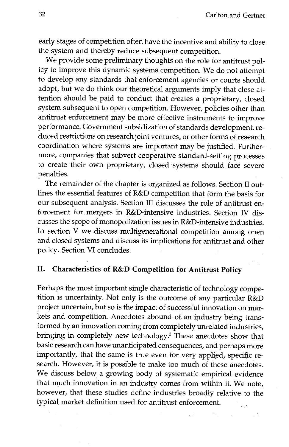early stages of competition often have the incentive and ability to close the system and thereby reduce subsequent competition.

We provide some preliminary thoughts on the role for antitrust policy to improve this dynamic systems competition. We do not attempt to develop any standards that enforcement agencies or courts should adopt, but we do think our theoretical arguments imply that close attention should be paid to conduct that creates a proprietary, closed system subsequent to open competition. However, policies other than antitrust enforcement may be more effective instruments to improve performance. Government subsidization of standards development, re duced restrictions on research joint ventures, or other forms of research coordination where systems are important may be justified. Furthermore, companies that subvert cooperative standard-setting processes to create their own proprietary, closed systems should face severe penalties.

The remainder of the chapter is organized as follows. Section II outlines the essential features of R&D competition that form the basis for our subsequent analysis. Section III discusses the role of antitrust enforcement for mergers in R&D-intensive industries. Section IV discusses the scope of monopolization issues in R&D-intensive industries. In section V we discuss multigenerational competition among open and closed systems and discuss its implications for antitrust and other policy. Section VI concludes.

# II. Characteristics of R&D Competition for Antitrust Policy

Perhaps the most important single characteristic of technology competition is uncertainty. Not only is the outcome of any particular R&D project uncertain, but so is the impact of successful innovation on markets and competition. Anecdotes abound of an industry being transformed by an innovation coming from completely unrelated industries, bringing in completely new technology.<sup>3</sup> These anecdotes show that basic research can have unanticipated consequences, and perhaps more importantly, that the same is true even for very applied, specific research. However, it is possible to make too much of these anecdotes. We discuss below a growing body of systematic empirical evidence that much innovation in an industry comes from within it. We note, however, that these studies define industries broadly relative to the typical market definition used for antitrust enforcement.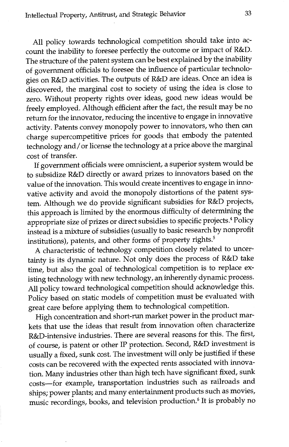All policy towards technological competition should take into account the inability to foresee perfectly the outcome or impact of R&D. The structure of the patent system can be best explained by the inability of government officials to foresee the influence of particular technologies on R&D activities. The outputs of R&D are ideas. Once an idea is discovered, the marginal cost to society of using the idea is close to zero. Without property rights over ideas, good new ideas would be freely employed. Although efficient after the fact, the result may be no return for the innovator, reducing the incentive to engage in innovative activity. Patents convey monopoly power to innovators, who then can charge supercompetitive prices for goods that embody the patented technology and / or license the technology at a price above the marginal cost of transfer.

If government officials were omniscient, a superior system would be to subsidize R&D directly or award prizes to innovators based on the value of the innovation. This would create incentives to engage in innovative activity and avoid the monopoly distortions of the patent system. Although we do provide significant subsidies for R&D projects, this approach is limited by the enormous difficulty of determining the appropriate size of prizes or direct subsidies to specific projects.4 Policy instead is a mixture of subsidies (usually to basic research by nonprofit institutions), patents, and other forms of property rights.<sup>5</sup>

A characteristic of technology competition closely related to uncertainty is its dynamic nature. Not only does the process of R&D take time, but also the goal of technological competition is to replace existing technology with new technology, an inherently dynamic process. All policy toward technological competition should acknowledge this. Policy based on static models of competition must be evaluated with great care before applying them to technological competition.

High concentration and short-run market power in the product markets that use the ideas that result from innovation often characterize R&D-intensive industries. There are several reasons for this. The first, of course, is patent or other IP protection. Second, R&D investment is usually a fixed, sunk cost. The investment will only be justified if these costs can be recovered with the expected rents associated with innovation. Many industries other than high tech have significant fixed, sunk costs-for example, transportation industries such as railroads and ships; power plants; and many entertainment products such as movies, music recordings, books, and television production.6 It is probably no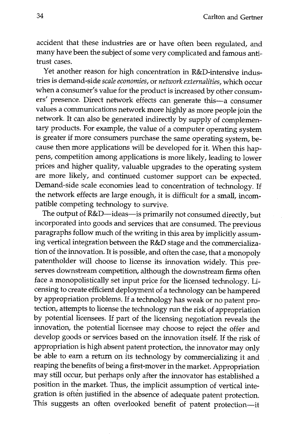accident that these industries are or have often been regulated, and many have been the subject of some very complicated and famous antitrust cases.

Yet another reason for high concentration in R&D-intensive industries is demand-side scale economies, or network externalities, which occur when a consumer's value for the product is increased by other consumers' presence. Direct network effects can generate this-a consumer values a communications network more highly as more people join the network. It can also be generated indirectly by supply of complementary products. For example, the value of a computer operating system is greater if more consumers purchase the same operating system, because then more applications will be developed for it. When this happens, competition among applications is more likely, leading to lower prices and higher quality, valuable upgrades to the operating system are more likely, and continued customer support can be expected. Demand-side scale economies lead to concentration of technology. If the network effects are large enough, it is difficult for a small, incompatible competing technology to survive.

The output of R&D—ideas—is primarily not consumed directly, but incorporated into goods and services that are consumed. The previous paragraphs follow much of the writing in this area by implicitly assuming vertical integration between the R&D stage and the commercialization of the innovation. It is possible, and often the case, that a monopoly patentholder will choose to license its innovation widely. This preserves downstream competition, although the downstream firms often face a monopolistically set input price for the licensed technology. Licensing to create efficient deployment of a technology can be hampered by appropriation problems. If a technology has weak or no patent protection, attempts to license the technology run the risk of appropriation by potential licensees. If part of the licensing negotiation reveals the innovation, the potential licensee may choose to reject the offer and develop goods or services based on the innovation itself. If the risk of appropriation is high absent patent protection, the innovator may only be able to earn a return on its technology by commercializing it and reaping the benefits of being a first-mover in the market. Appropriation may still occur, but perhaps only after the innovator has established a position in the market. Thus, the implicit assumption of vertical integration is often justified in the absence of adequate patent protection. This suggests an often overlooked benefit of patent protection-it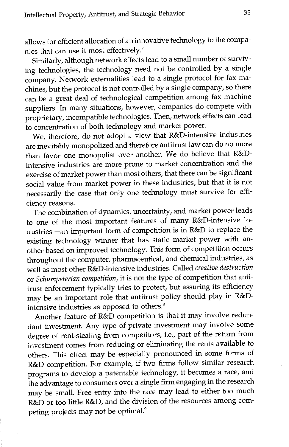allows for efficient allocation of an innovative technology to the companies that can use it most effectively.7

Similarly, although network effects lead to a small number of surviving technologies, the technology need not be controlled by a single company. Network externalities lead to a single protocol for fax machines, but the protocol is not controlled by a single company, so there can be a great deal of technological competition among fax machine suppliers. In many situations, however, companies do compete with proprietary, incompatible technologies. Then, network effects can lead to concentration of both technology and market power.

We, therefore, do not adopt a view that R&D-intensive industries are inevitably monopolized and therefore antitrust law can do no more than favor one monopolist over another. We do believe that R&Dintensive industries are more prone to market concentration and the exercise of market power than most others, that there can be significant social value from market power in these industries, but that it is not necessarily the case that only one technology must survive for efficiency reasons.

The combination of dynamics, uncertainty, and market power leads to one of the most important features of many R&D-intensive industries—an important form of competition is in R&D to replace the existing technology winner that has static market power with another based on improved technology. This form of competition occurs throughout the computer, pharmaceutical, and chemical industries, as well as most other R&D-intensive industries. Called creative destruction or Schumpeterian competition, it is not the type of competition that antitrust enforcement typically tries to protect, but assuring its efficiency may be an important role that antitrust policy should play in R&Dintensive industries as opposed to others.<sup>8</sup>

Another feature of R&D competition is that it may involve redundant investment. Any type of private investment may involve some degree of rent-stealing from competitors, i.e., part of the return from investment comes from reducing or eliminating the rents available to others. This effect may be especially pronounced in some forms of R&D competition. For example, if two firms follow similar research programs to develop a patentable technology, it becomes a race, and the advantage to consumers over a single firm engaging in the research may be small. Free entry into the race may lead to either too much R&D or too little R&D, and the division of the resources among competing projects may not be optimal.<sup>9</sup>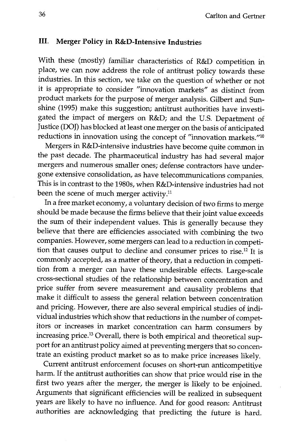# III. Merger Policy in R&D-Intensive Industries

With these (mostly) familiar characteristics of R&D competition in place, we can now address the role of antitrust policy towards these industries. In this section, we take on the question of whether or not it is appropriate to consider "innovation markets" as distinct from product markets for the purpose of merger analysis. Gilbert and Sunshine (1995) make this suggestion; antitrust authorities have investigated the impact of mergers on R&D; and the U.S. Department of Justice (DOJ) has blocked at least one merger on the basis of anticipated reductions in innovation using the concept of "innovation markets."<sup>10</sup>

Mergers in R&D-intensive industries have become quite common in the past decade. The pharmaceutical industry has had several major mergers and numerous smaller ones; defense contractors have undergone extensive consolidation, as have telecommunications companies. This is in contrast to the 1980s, when R&D-intensive industries had not been the scene of much merger activity. $11$ 

In a free market economy, a voluntary decision of two firms to merge should be made because the firms believe that their joint value exceeds the sum of their independent values. This is generally because they believe that there are efficiencies associated with combining the two companies. However, some mergers can lead to a reduction in competition that causes output to decline and consumer prices to rise.<sup>12</sup> It is commonly accepted, as a matter of theory, that a reduction in competition from a merger can have these undesirable effects. Large-scale cross-sectional studies of the relationship between concentration and price suffer from severe measurement and causality problems that make it difficult to assess the general relation between concentration and pricing. However, there are also several empirical studies of individual industries which show that reductions in the number of competitors or increases in market concentration can harm consumers by increasing price.<sup>13</sup> Overall, there is both empirical and theoretical support for an antitrust policy aimed at preventing mergers that so concentrate an existing product market so as to make price increases likely.

Current antitrust enforcement focuses on short-run anticompetitiye harm. If the antitrust authorities can show that price would rise in the first two years after the merger, the merger is likely to be enjoined. Arguments that significant efficiencies will be realized in subsequent years are likely to have no influence. And for good reason: Antitrust authorities are acknowledging that predicting the future is hard.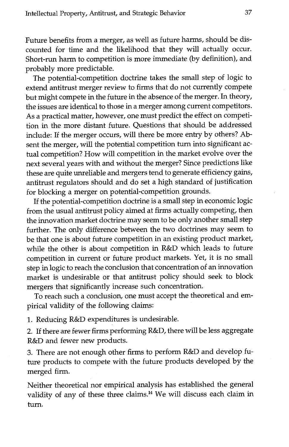Future benefits from a merger, as well as future harms, should be discounted for time and the likelihood that they will actually occur. Short-run harm to competition is more immediate (by definition), and probably more predictable.

The potential-competition doctrine takes the small step of logic to extend antitrust merger review to firms that do not currently compete but might compete in the future in the absence of the merger. In theory, the issues are identical to those in a merger among current competitors. As a practical matter, however, one must predict the effect on competilion in the more distant future. Questions that should be addressed include: If the merger occurs, will there be more entry by others? Absent the merger, will the potential competition turn into significant actual competition? How will competition in the market evolve over the next several years with and without the merger? Since predictions like these are quite unreliable and mergers tend to generate efficiency gains, antitrust regulators should and do set a high standard of justification for blocking a merger on potential-competition grounds.

If the potential-competition doctrine is a small step in economic logic from the usual antitrust policy aimed at firms actually competing, then the innovation market doctrine may seem to be only another small step further. The only difference between the two doctrines may seem to be that one is about future competition in an existing product market, while the other is about competition in R&D which leads to future competition in current or future product markets. Yet, it is no small step in logic to reach the conclusion that concentration of an innovation market is undesirable or that antitrust policy should seek to block mergers that significantly increase such concentration.

To reach such a conclusion, one must accept the theoretical and empirical validity of the following claims:

1. Reducing R&D expenditures is undesirable.

2. If there are fewer firms performing R&D, there will be less aggregate R&D and fewer new products.

There are not enough other firms to perform R&D and develop hiture products to compete with the future products developed by the merged firm.

Neither theoretical nor empirical analysis has established the general validity of any of these three claims.<sup>14</sup> We will discuss each claim in turn.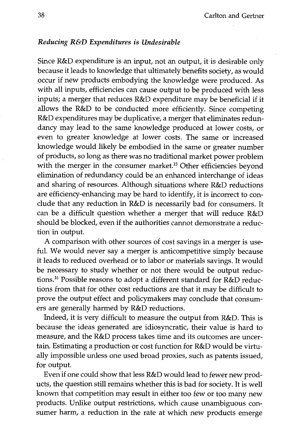#### Reducing R&D Expenditures is Undesirable

Since R&D expenditure is an input, not an output, it is desirable only because it leads to knowledge that ultimately benefits society, as would occur if new products embodying the knowledge were produced. As with all inputs, efficiencies can cause output to be produced with less inputs; a merger that reduces R&D expenditure may be beneficial if it allows the R&D to be conducted more efficiently. Since competing R&D expenditures may be duplicative, a merger that eliminates redundancy may lead to the same knowledge produced at lower costs, or even to greater knowledge at lower costs. The same or increased knowledge would likely be embodied in the same or greater number of products, so long as there was no traditional market power problem with the merger in the consumer market.<sup>15</sup> Other efficiencies beyond elimination of redundancy could be an enhanced interchange of ideas and sharing of resources. Although situations where R&D reductions are efficiency-enhancing may be hard to identify, it is incorrect to conclude that any reduction in R&D is necessarily bad for consumers. It can be a difficult question whether a merger that will reduce R&D should be blocked, even if the authorities cannot demonstrate a reduction in output.

A comparison with other sources of cost savings in a merger is useful. We would never say a merger is anticompetitive simply because it leads to reduced overhead or to labor or materials savings. It would be necessary to study whether or not there would be output reductions.16 Possible reasons to adopt a different standard for R&D reductions from that for other cost reductions are that it may be difficult to prove the output effect and policymakers may conclude that consumers are generally harmed by R&D reductions.

Indeed, it is very difficult to measure the output from R&D. This is because the ideas generated are idiosyncratic, their value is hard to measure, and the R&D process takes time and its outcomes are uncertain. Estimating a production or cost function for R&D would be virtually impossible unless one used broad proxies, such as patents issued, for output.

Even if one could show that less R&D would lead to fewer new products, the question still remains whether this is bad for society. It is well known that competition may result in either too few or too many new products. Unlike output restrictions, which cause unambiguous consumer harm, a reduction in the rate at which new products emerge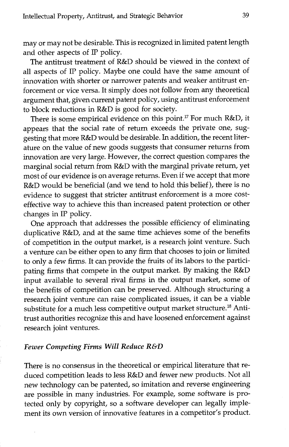may or may not be desirable. This is recognized in limited patent length and other aspects of IP policy.

The antitrust treatment of R&D should be viewed in the context of all aspects of IP policy. Maybe one could have the same amount of innovation with shorter or narrower patents and weaker antitrust enforcement or vice versa. It simply does not follow from any theoretical argument that, given current patent policy, using antitrust enforcement to block reductions in R&D is good for society.

There is some empirical evidence on this point.'7 For much R&D, it appears that the social rate of return exceeds the private one, suggesting that more R&D would be desirable. In addition, the recent literature on the value of new goods suggests that consumer returns from innovation are very large. However, the correct question compares the marginal social return from R&D with the marginal private return, yet most of our evidence is on average returns. Even if we accept that more R&D would be beneficial (and we tend to hold this belief), there is no evidence to suggest that stricter antitrust enforcement is a more costeffective way to achieve this than increased patent protection or other changes in IP policy.

One approach that addresses the possible efficiency of eliminating duplicative R&D, and at the same time achieves some of the benefits of competition in the output market, is a research joint venture. Such a venture can be either open to any firm that chooses to join or limited to only a few firms. It can provide the fruits of its labors to the participating firms that compete in the output market. By making the R&D input available to several rival firms in the output market, some of the benefits of competition can be preserved. Although structuring a research joint venture can raise complicated issues, it can be a viable substitute for a much less competitive output market structure.<sup>18</sup> Antitrust authorities recognize this and have loosened enforcement against research joint ventures.

#### Fewer Competing Firms Will Reduce R&D

There is no consensus in the theoretical or empirical literature that reduced competition leads to less R&D and fewer new products. Not all new technology can be patented, so imitation and reverse engineering are possible in many industries. For example, some software is protected only by copyright, so a software developer can legally implement its own version of innovative features in a competitor's product.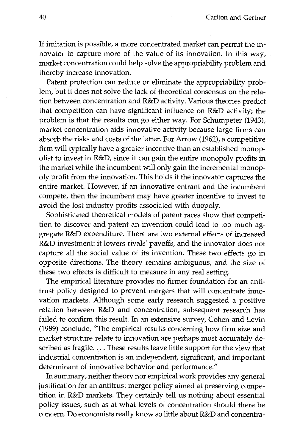If imitation is possible, a more concentrated market can permit the innovator to capture more of the value of its innovation. In this way, market concentration could help solve the appropriability problem and thereby increase innovation.

Patent protection can reduce or eliminate the appropriability problem, but it does not solve the lack of theoretical consensus on the relation between concentration and R&D activity. Various theories predict that competition can have significant influence on R&D activity; the problem is that the results can go either way. For Schumpeter (1943), market concentration aids innovative activity because large firms can absorb the risks and costs of the latter. For Arrow (1962), a competitive firm will typically have a greater incentive than an established monopolist to invest in R&D, since it can gain the entire monopoly profits in the market while the incumbent will only gain the incremental monopoly profit from the innovation. This holds if the innovator captures the entire market. However, if an innovative entrant and the incumbent compete, then the incumbent may have greater incentive to invest to avoid the lost industry profits associated with duopoly.

Sophisticated theoretical models of patent races show that competition to discover and patent an invention could lead to too much aggregate R&D expenditure. There are two external effects of increased R&D investment: it lowers rivals' payoffs, and the innovator does not capture all the social value of its invention. These two effects go in opposite directions. The theory remains ambiguous, and the size of these two effects is difficult to measure in any real setting.

The empirical literature provides no firmer foundation for an antitrust policy designed to prevent mergers that will concentrate innovation markets. Although some early research suggested a positive relation between R&D and concentration, subsequent research has failed to confirm this result. In an extensive survey, Cohen and Levin (1989) conclude, "The empirical results concerning how firm size and market structure relate to innovation are perhaps most accurately described as fragile. . . . These results leave little support for the view that industrial concentration is an independent, significant, and important determinant of innovative behavior and performance."

In summary, neither theory nor empirical work provides any general justification for an antitrust merger policy aimed at preserving competition in R&D markets. They certainly tell us nothing about essential policy issues, such as at what levels of concentration should there be concern. Do economists really know so little about R&D and concentra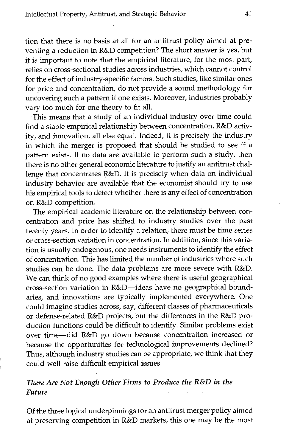tion that there is no basis at all for an antitrust policy aimed at preventing a reduction in R&D competition? The short answer is yes, but it is important to note that the empirical literature, for the most part, relies on cross-sectional studies across industries, which cannot control for the effect of industry-specific factors. Such studies, like similar ones for price and concentration, do not provide a sound methodology for uncovering such a pattern if one exists. Moreover, industries probably vary too much for one theory to fit all.

This means that a study of an individual industry over time could find a stable empirical relationship between concentration, R&D activity, and innovation, all else equal. Indeed, it is precisely the industry in which the merger is proposed that should be studied to see if a pattern exists. If no data are available to perform such a study, then there is no other general economic literature to justify an antitrust challenge that concentrates R&D. It is precisely when data on individual industry behavior are available that the economist should try to use his empirical tools to detect whether there is any effect of concentration on R&D competition.

The empirical academic literature on the relationship between concentration and price has shifted to industry studies over the past twenty years. In order to identify a relation, there must be time series or cross-section variation in concentration. In addition, since this variation is usually endogenous, one needs instruments to identify the effect of concentration. This has limited the number of industries where such studies can be done. The data problems are more severe with R&D. We can think of no good examples where there is useful geographical cross-section variation in R&D-ideas have no geographical boundaries, and innovations are typically implemented everywhere. One could imagine studies across, say, different classes of pharmaceuticals or defense-related R&D projects, but the differences in the R&D production functions could be difficult to identify. Similar problems exist over time-did R&D go down because concentration increased or because the opportunities for technological improvements declined? Thus, although industry studies can be appropriate, we think that they could well raise difficult empirical issues.

# There Are Not Enough Other Firms to Produce the R&D in the Future

Of the three logical underpinnings for an antitrust merger policy aimed at preserving competition in R&D markets, this one may be the most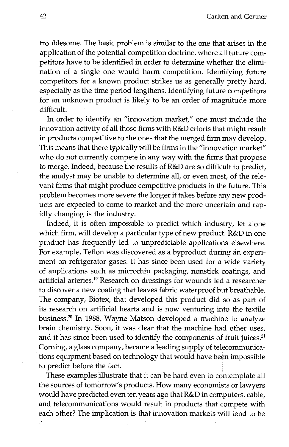troublesome. The basic problem is similar to the one that arises in the application of the potential-competition doctrine, where all future competitors have to be identified in order to determine whether the elimination of a single one would harm competition. Identifying future competitors for a known product strikes us as generally pretty hard, especially as the time period lengthens. Identifying future competitors for an unknown product is likely to be an order of magnitude more difficult.

In order to identify an "innovation market," one must include the innovation activity of all those firms with R&D efforts that might result in products competitive to the ones that the merged firm may develop. This means that there typically will be firms in the "innovation market" who do not currently compete in any way with the firms that propose to merge. Indeed, because the results of R&D are so difficult to predict, the analyst may be unable to determine all, or even most, of the relevant firms that might produce competitive products in the future. This problem becomes more severe the longer it takes before any new products are expected to come to market and the more uncertain and rapidly changing is the industry.

Indeed, it is often impossible to predict which industry, let alone which firm, will develop a particular type of new product. R&D in one product has frequently led to unpredictable applications elsewhere. For example, Teflon was discovered as a byproduct during an experiment on refrigerator gases. It has since been used for a wide variety of applications such as microchip packaging, nonstick coatings, and artificial arteries.19 Research on dressings for wounds led a researcher to discover a new coating that leaves fabric waterproof but breathable. The company, Biotex, that developed this product did so as part of its research on artificial hearts and is now venturing into the textile business.<sup>20</sup> In 1988, Wayne Matson developed a machine to analyze brain chemistry. Soon, it was clear that the machine had other uses, and it has since been used to identify the components of fruit juices.<sup>21</sup> Corning, a glass company, became a leading supply of telecommunications equipment based on technology that would have been impossible to predict before the fact.

These examples illustrate that it can be hard even to contemplate all the sources of tomorrow's products. How many economists or lawyers would have predicted even ten years ago that R&D in computers, cable, and telecommunications would result in products that compete with each other? The implication is that innovation markets will tend to be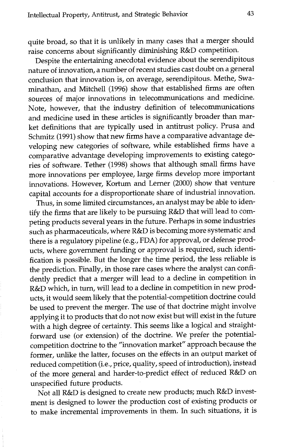quite broad, so that it is unlikely in many cases that a merger should raise concerns about significantly diminishing R&D competition.

Despite the entertaining anecdotal evidence about the serendipitous nature of innovation, a number of recent studies cast doubt on a general conclusion that innovation is, on average, serendipitous. Methe, Swaminathan, and Mitchell (1996) show that established firms are often sources of major innovations in telecommunications and medicine. Note, however, that the industry definition of telecommunications and medicine used in these articles is significantly broader than market definitions that are typically used in antitrust policy. Prusa and Schmitz (1991) show that new firms have a comparative advantage developing new categories of software, while established firms have a comparative advantage developing improvements to existing categories of software. Tether (1998) shows that although small firms have more innovations per employee, large firms develop more important innovations. However, Kortum and Lerner (2000) show that venture capital accounts for a disproportionate share of industrial innovation.

Thus, in some limited circumstances, an analyst may be able to identify the firms that are likely to be pursuing R&D that will lead to competing products several years in the future. Perhaps in some industries such as pharmaceuticals, where R&D is becoming more systematic and there is a regulatory pipeline (e.g., FDA) for approval, or defense products, where government funding or approval is required, such identification is possible. But the longer the time period, the less reliable is the prediction. Finally, in those rare cases where the analyst can confidently predict that a merger will lead to a decline in competition in R&D which, in turn, will lead to a decline in competition in new products, it would seem likely that the potential-competition doctrine could be used to prevent the merger. The use of that doctrine might involve applying it to products that do not now exist but will exist in the future with a high degree of certainty. This seems like a logical and straightforward use (or extension) of the doctrine. We prefer the potentialcompetition doctrine to the "innovation market" approach because the former, unlike the latter, focuses on the effects in an output market of reduced competition (i.e., price, quality, speed of introduction), instead of the more general and harder-to-predict effect of reduced R&D on unspecified future products.

Not all R&D is designed to create new products; much R&D investment is designed to lower the production cost of existing products or to make incremental improvements in them. In such situations, it is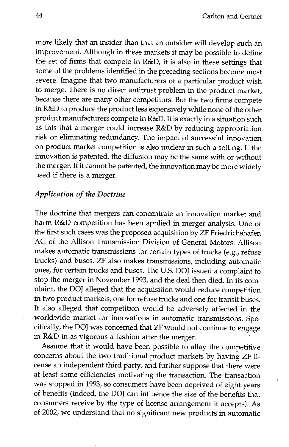more likely that an insider than that an outsider will develop such an improvement. Although in these markets it may be possible to define the set of firms that compete in R&D, it is also in these settings that some of the problems identified in the preceding sections become most severe. Imagine that two manufacturers of a particular product wish to merge. There is no direct antitrust problem in the product market, because there are many other competitors. But the two firms compete in R&D to produce the product less expensively while none of the other product manufacturers compete in R&D. It is exactly in a situation such as this that a merger could increase R&D by reducing appropriation risk or eliminating redundancy. The impact of successful innovation on product market competition is also unclear in such a setting. If the innovation is patented, the diffusion may be the same with or without the merger. If it cannot be patented, the innovation may be more widely used if there is a merger.

# Application of the Doctrine

The doctrine that mergers can concentrate an innovation market and harm R&D competition has been applied in merger analysis. One of the first such cases was the proposed acquisition by ZF Friedrichshafen AG of the Allison Transmission Division of General Motors. Allison makes automatic transmissions for certain types of trucks (e.g., refuse trucks) and buses. ZF also makes transmissions, including automatic ones, for certain trucks and buses. The U.S. DOT issued a complaint to stop the merger in November 1993, and the deal then died. In its complaint, the DOJ alleged that the acquisition would reduce competition in two product markets, one for refuse trucks and one for transit buses. It also alleged that competition would be adversely affected in the worldwide market for innovations in automatic transmissions. Specifically, the DOJ was concerned that ZF would not continue to engage in R&D in as vigorous a fashion after the merger.

Assume that it would have been possible to allay the competitive concerns about the two traditional product markets by having ZF license an independent third party, and further suppose that there were at least some efficiencies motivating the transaction. The transaction was stopped in 1993, so consumers have been deprived of eight years of benefits (indeed, the DOJ can influence the size of the benefits that consumers receive by the type of license arrangement it accepts). As of 2002, we understand that no significant new products in automatic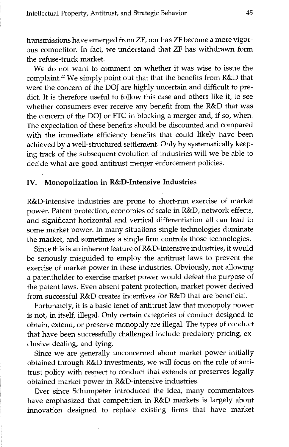transmissions have emerged from ZF, nor has ZF become a more vigorous competitor. In fact, we understand that ZF has withdrawn form the refuse-truck market.

We do not want to comment on whether it was wise to issue the complaint.<sup>22</sup> We simply point out that that the benefits from R&D that were the concern of the DOJ are highly uncertain and difficult to predict. It is therefore useful to follow this case and others like it, to see whether consumers ever receive any benefit from the R&D that was the concern of the DOJ or FTC in blocking a merger and, if so, when. The expectation of these benefits should be discounted and compared with the immediate efficiency benefits that could likely have been achieved by a well-structured settlement. Only by systematically keeping track of the subsequent evolution of industries will we be able to decide what are good antitrust merger enforcement policies.

# IV. Monopolization in R&D-Intensive Industries

R&D-intensive industries are prone to short-run exercise of market power. Patent protection, economies of scale in R&D, network effects, and significant horizontal and vertical differentiation all can lead to some market power. In many situations single technologies dominate the market, and sometimes a single firm controls those technologies.

Since this is an inherent feature of R&D-intensive industries, it would be seriously misguided to employ the antitrust laws to prevent the exercise of market power in these industries. Obviously, not allowing a patentholder to exercise market power would defeat the purpose of the patent laws. Even absent patent protection, market power derived from successful R&D creates incentives for R&D that are beneficial.

Fortunately, it is a basic tenet of antitrust law that monopoly power is not, in itself, illegal. Only certain categories of conduct designed to obtain, extend, or preserve monopoly are illegal. The types of conduct that have been successfully challenged include predatory pricing, exclusive dealing, and tying.

Since we are generally unconcerned about market power initially obtained through R&D investments, we will focus on the role of antitrust policy with respect to conduct that extends or preserves legally obtained market power in R&D-intensive industries.

Ever since Schumpeter introduced the idea, many commentators have emphasized that competition in R&D markets is largely about innovation designed to replace existing firms that have market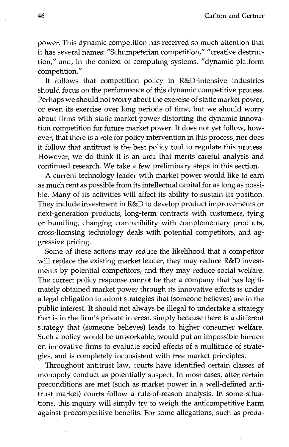power. This dynamic competition has received so much attention that it has several names: "Schumpeterian competition," "creative destruction," and, in the context of computing systems, "dynamic platform competition."

It follows that competition policy in R&D-intensive industries should focus on the performance of this dynamic competitive process. Perhaps we should not worry about the exercise of static market power, or even its exercise over long periods of time, but we should worry about firms with static market power distorting the dynamic innovation competition for future market power. It does not yet follow, however, that there is a role for policy intervention in this process, nor does it follow that antitrust is the best policy tool to regulate this process. However, we do think it is an area that merits careful analysis and continued research. We take a few preliminary steps in this section.

A current technology leader with market power would like to earn as much rent as possible from its intellectual capital for as long as possible. Many of its activities will affect its ability to sustain its position. They include investment in R&D to develop product improvements or next-generation products, long-term contracts with customers, tying or bundling, changing compatibility with complementary products, cross-licensing technology deals with potential competitors, and aggressive pricing.

Some of these actions may reduce the likelihood that a competitor will replace the existing market leader, they may reduce R&D investments by potential competitors, and they may reduce social welfare. The correct policy response cannot be that a company that has legitimately obtained market power through its innovative efforts is under a legal obligation to adopt strategies that (someone believes) are in the public interest. It should not always be illegal to undertake a strategy that is in the firm's private interest, simply because there is a different strategy that (someone believes) leads to higher consumer welfare. Such a policy would be unworkable, would put an impossible burden on innovative firms to evaluate social effects of a multitude of strategies, and is completely inconsistent with free market principles.

Throughout antitrust law, courts have identified certain classes of monopoly conduct as potentially suspect. In most cases, after certain preconditions are met (such as market power in a well-defined antitrust market) courts follow a rule-of-reason analysis. In some situations, this inquiry will simply try to weigh the anticompetitive harm against procompetitive benefits. For some allegations, such as preda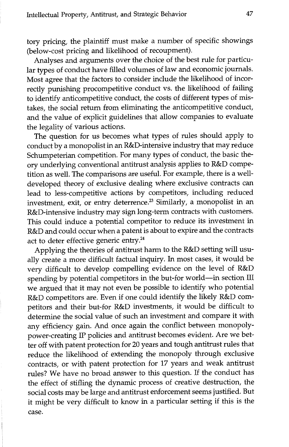tory pricing, the plaintiff must make a number of specific showings (below-cost pricing and likelihood of recoupment).

Analyses and arguments over the choice of the best rule for particular types of conduct have filled volumes of law and economic journals. Most agree that the factors to consider include the likelihood of incorrectly punishing procompetitive conduct vs. the likelihood of failing to identify anticompetitive conduct, the costs of different types of mistakes, the social return from eliminating the anticompetitive conduct, and the value of explicit guidelines that allow companies to evaluate the legality of various actions.

The question for us becomes what types of rules should apply to conduct by a monopolist in an R&D-intensive industry that may reduce Schumpeterian competition. For many types of conduct, the basic theory underlying conventional antitrust analysis applies to R&D competition as well. The comparisons are useful. For example, there is a welldeveloped theory of exclusive dealing where exclusive contracts can lead to less-competitive actions by competitors, including reduced investment, exit, or entry deterrence.<sup>23</sup> Similarly, a monopolist in an R&D-intensive industry may sign long-term contracts with customers. This could induce a potential competitor to reduce its investment in R&D and could occur when a patent is about to expire and the contracts act to deter effective generic entry.<sup>24</sup>

Applying the theories of antitrust harm to the R&D setting will usually create a more difficult factual inquiry. In most cases, it would be very difficult to develop compelling evidence on the level of R&D spending by potential competitors in the but-for world—in section III we argued that it may not even be possible to identify who potential R&D competitors are. Even if one could identify the likely R&D competitors and their but-for R&D investments, it would be difficult to determine the social value of such an investment and compare it with any efficiency gain. And once again the conflict between monopolypower-creating IP policies and antitrust becomes evident. Are we better off with patent protection for 20 years and tough antitrust rules that reduce the likelihood of extending the monopoly through exclusive contracts, or with patent protection for 17 years and weak antitrust rules? We have no broad answer to this question. If the conduct has the effect of stifling the dynamic process of creative destruction, the social costs may be large and antitrust enforcement seems justified. But it might be very difficult to know in a particular setting if this is the case.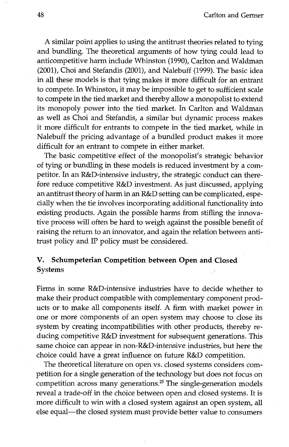A similar point applies to using the antitrust theories related to tying and bundling. The theoretical arguments of how tying could lead to anticompetitive harm include Whinston (1990), Canton and Waidman (2001), Choi and Stefandis (2001), and Nalebuff (1999). The basic idea in all these models is that tying makes it more difficult for an entrant to compete. In Whinston, it may be impossible to get to sufficient scale to compete in the tied market and thereby allow a monopolist to extend its monopoly power into the tied market. In Carlton and Waldman as well as Choi and Stefandis, a similar but dynamic process makes it more difficult for entrants to compete in the tied market, while in Nalebuff the pricing advantage of a bundled product makes it more difficult for an entrant to compete in either market.

The basic competitive effect of the monopolist's strategic behavior of tying or bundling in these models is reduced investment by a competitor. In an R&D-intensive industry, the strategic conduct can therefore reduce competitive R&D investment. As just discussed, applying an antitrust theory of harm in an R&D setting can be complicated, especially when the tie involves incorporating additional functionality into existing products. Again the possible harms from stifling the innovative process will often be hard to weigh against the possible benefit of raising the return to an innovator, and again the relation between antitrust policy and IF policy must be considered.

# V. Schumpeterian Competition between Open and Closed **Systems**

Firms in some R&D-intensive industries have to decide whether to make their product compatible with complementary component products or to make all components itself. A firm with market power in one or more components of an open system may choose to close its system by creating incompatibilities with other products, thereby reducing competitive R&D investment for subsequent generations. This same choice can appear in non-R&D-intensive industries, but here the choice could have a great influence on future R&D competition.

The theoretical literature on open vs. closed systems considers competition for a single generation of the technology but does not focus on competition across many generations.<sup>25</sup> The single-generation models reveal a trade-off in the choice between open and closed systems. It is more difficult to win with a closed system against an open system, all else equal—the closed system must provide better value to consumers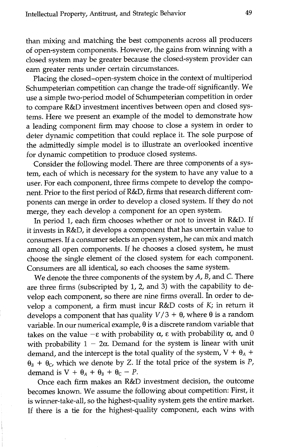than mixing and matching the best components across all producers of open-system components. However, the gains from wirming with a closed system may be greater because the closed-system provider can earn greater rents under certain circumstances.

Placing the closed-open-system choice in the context of multiperiod Schumpeterian competition can change the trade-off significantly. We use a simple two-period model of Schumpeterian competition in order to compare R&D investment incentives between open and closed systems. Here we present an example of the model to demonstrate how a leading component firm may choose to close a system in order to deter dynamic competition that could replace it. The sole purpose of the admittedly simple model is to illustrate an overlooked incentive for dynamic competition to produce closed systems.

Consider the following model. There are three components of a system, each of which is necessary for the system to have any value to a user. For each component, three firms compete to develop the component. Prior to the first period of R&D, firms that research different components can merge in order to develop a closed system. If they do not merge, they each develop a component for an open system.

In period 1, each firm chooses whether or not to invest in R&D. If it invests in R&D, it develops a component that has uncertain value to consumers. If a consumer selects an open system, he can mix and match among all open components. If he chooses a closed system, he must choose the single element of the closed system for each component. Consumers are all identical, so each chooses the same system.

We denote the three components of the system by  $A$ ,  $B$ , and  $C$ . There are three firms (subscripted by 1, 2, and 3) with the capability to develop each component, so there are nine firms overall. In order to develop a component, a firm must incur R&D costs of K; in return it develops a component that has quality  $V/3 + \theta$ , where  $\theta$  is a random variable. In our numerical example,  $\theta$  is a discrete random variable that takes on the value  $-\varepsilon$  with probability  $\alpha$ ,  $\varepsilon$  with probability  $\alpha$ , and 0 with probability  $1 - 2\alpha$ . Demand for the system is linear with unit demand, and the intercept is the total quality of the system,  $V + \theta_A +$  $\theta_B$  +  $\theta_C$ , which we denote by Z. If the total price of the system is P, demand is  $V + \theta_A + \theta_B + \theta_C - P$ .

Once each firm makes an R&D investment decision, the outcome becomes known. We assume the following about competition: First, it is winner-take-all, so the highest-quality system gets the entire market. If there is a tie for the highest-quality component, each wins with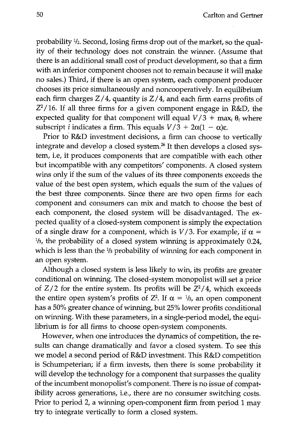probability <sup>1</sup>/2. Second, losing firms drop out of the market, so the quality of their technology does not constrain the winner. (Assume that there is an additional small cost of product development, so that a firm with an inferior component chooses not to remain because it will make no sales.) Third, if there is an open system, each component producer chooses its price simultaneously and noncooperatively. In equilibrium each firm charges  $Z/4$ , quantity is  $Z/4$ , and each firm earns profits of  $Z^2/16$ . If all three firms for a given component engage in R&D, the expected quality for that component will equal  $V/3$  + max<sub>i</sub>  $\theta$ <sub>i</sub> where subscript *i* indicates a firm. This equals  $V/3 + 2\alpha(1 - \alpha)\epsilon$ .

Prior to R&D investment decisions, a firm can choose to vertically integrate and develop a closed system.26 It then develops a closed system, i.e, it produces components that are compatible with each other but incompatible with any competitors' components. A closed system wins only if the sum of the values of its three components exceeds the value of the best open system, which equals the sum of the values of the best three components. Since there are two open firms for each component and consumers can mix and match to choose the best of each component, the closed system will be disadvantaged. The expected quality of a closed-system component is simply the expectation of a single draw for a component, which is  $V/3$ . For example, if  $\alpha =$  $\frac{1}{3}$ , the probability of a closed system winning is approximately 0.24, which is less than the <sup>1</sup>/3 probability of winning for each component in an open system.

Although a closed system is less likely to win, its profits are greater conditional on winning. The closed-system monopolist will set a price of  $Z/2$  for the entire system. Its profits will be  $Z^2/4$ , which exceeds the entire open system's profits of  $Z^2$ . If  $\alpha = \frac{1}{3}$ , an open component has a 50% greater chance of winning, but 25% lower profits conditional on winning. With these parameters, in a single-period model, the equilibrium is for all firms to choose open-system components.

However, when one introduces the dynamics of competition, the results can change dramatically and favor a closed system. To see this we model a second period of R&D investment. This R&D competition is Schumpeterian; if a firm invests, then there is some probability it will develop the technology for a component that surpasses the quality of the incumbent monopolist's component. There is no issue of compatibility across generations, i.e., there are no consumer switching costs. Prior to period 2, a winning open-component firm from period 1 may try to integrate vertically to form a closed system.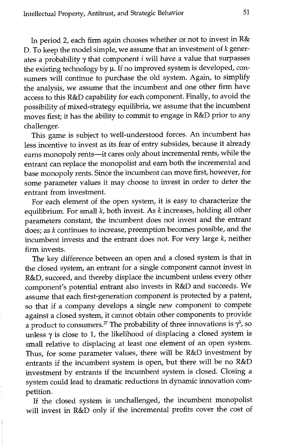In period 2, each firm again chooses whether or not to invest in R& D. To keep the model simple, we assume that an investment of  $k$  generates a probability  $\gamma$  that component i will have a value that surpasses the existing technology by  $\mu$ . If no improved system is developed, consumers will continue to purchase the old system. Again, to simplify the analysis, we assume that the incumbent and one other firm have access to this R&D capability for each component. Finally, to avoid the possibility of mixed-strategy equilibria, we assume that the incumbent moves first; it has the ability to commit to engage in R&D prior to any challenger.

This game is subject to well-understood forces. An incumbent has less incentive to invest as its fear of entry subsides, because it already earns monopoly rents-it cares only about incremental rents, while the entrant can replace the monopolist and earn both the incremental and base monopoly rents. Since the incumbent can move first, however, for some parameter values it may choose to invest in order to deter the entrant from investment.

For each element of the open system, it is easy to characterize the equilibrium. For small  $k$ , both invest. As  $k$  increases, holding all other parameters constant, the incumbent does not invest and the entrant  $\overline{d}$  does; as k continues to increase, preemption becomes possible, and the incumbent invests and the entrant does not. For very large k, neither firm invests.

The key difference between an open and a closed system is that in the closed system, an entrant for a single component cannot invest in R&D, succeed, and thereby displace the incumbent unless every other component's potential entrant also invests in R&D and succeeds. We assume that each first-generation component is protected by a patent, so that if a company develops a single new component to compete against a closed system, it cannot obtain other components to provide a product to consumers.<sup>27</sup> The probability of three innovations is  $\gamma^3$ , so unless  $\gamma$  is close to 1, the likelihood of displacing a closed system is small relative to displacing at least one element of an open system. Thus, for some parameter values, there will be R&D investment by entrants if the incumbent system is open, but there will be no R&D investment by entrants if the incumbent system is closed. Closing a system could lead to dramatic reductions in dynamic innovation competition.

If the closed system is unchallenged, the incumbent monopolist will invest in R&D only if the incremental profits cover the cost of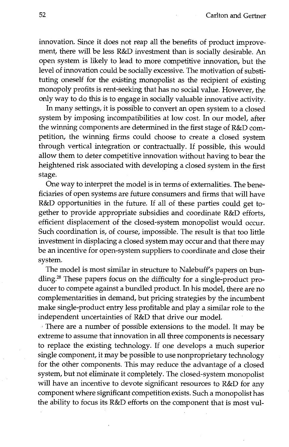innovation. Since it does not reap all the benefits of product improvement, there will be less R&D investment than is socially desirable. An open system is likely to lead to more competitive innovation, but the level of innovation could be socially excessive. The motivation of substituting oneself for the existing monopolist as the recipient of existing monopoly profits is rent-seeking that has no social value. However, the only way to do this is to engage in socially valuable innovative activity.

In many settings, it is possible to convert an open system to a closed system by imposing incompatibilities at low cost. In our model, after the winning components are determined in the first stage of R&D competition, the winning firms could choose to create a closed system through vertical integration or contractually. If possible, this would allow them to deter competitive innovation without having to bear the heightened risk associated with developing a closed system in the first stage.

One way to interpret the model is in terms of externalities. The beneficiaries of open systems are future consumers and firms that will have R&D opportunities in the future. If all of these parties could get together to provide appropriate subsidies and coordinate R&D efforts, efficient displacement of the closed-system monopolist would occur. Such coordination is, of course, impossible. The result is that too little investment in displacing a closed system may occur and that there may be an incentive for open-system suppliers to coordinate and close their system.

The model is most similar in structure to Nalebuff's papers on bundling.28 These papers focus on the difficulty for a single-product producer to compete against a bundled product. In his model, there are no complementarities in demand, but pricing strategies by the incumbent make single-product entry less profitable and play a similar role to the independent uncertainties of R&D that drive our model.

There are a number of possible extensions to the model. It may be extreme to assume that innovation in all three components is necessary to replace the existing technology. If one develops a much superior single component, it may be possible to use nonproprietary technology for the other components. This may reduce the advantage of a closed system, but not eliminate it completely. The closed-system monopolist will have an incentive to devote significant resources to R&D for any component where significant competition exists. Such a monopolist has the ability to focus its R&D efforts on the component that is most vul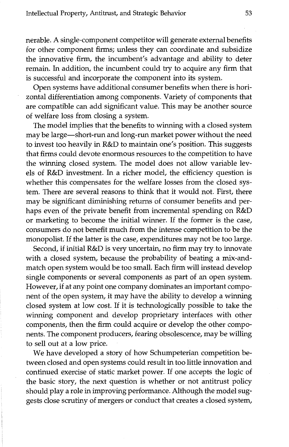nerable. A single-component competitor will generate external benefits for other component firms; unless they can coordinate and subsidize the innovative firm, the incumbent's advantage and ability to deter remain. In addition, the incumbent could try to acquire any firm that is successful and incorporate the component into its system.

Open systems have additional consumer benefits when there is horizontal differentiation among components. Variety of components that are compatible can add significant value. This may be another source of welfare loss from closing a system.

The model implies that the benefits to winning with a closed system may be large-short-run and long-run market power without the need to invest too heavily in R&D to maintain one's position. This suggests that firms could devote enormous resources to the competition to have the winning closed system. The model does not allow variable levels of R&D investment. In a richer model, the efficiency question is whether this compensates for the welfare losses from the closed system. There are several reasons to think that it would not. First, there may be significant diminishing returns of consumer benefits and perhaps even of the private benefit from incremental spending on R&D or marketing to become the initial winner. If the former is the case, consumers do not benefit much from the intense competition to be the monopolist. If the latter is the case, expenditures may not be too large.

Second, if initial R&D is very uncertain, no firm may try to innovate with a closed system, because the probability of beating a mix-andmatch open system would be too small. Each firm will instead develop single components or several components as part of an open system. However, if at any point one company dominates an important component of the open system, it may have the ability to develop a winning closed system at low cost. If it is technologically possible to take the winning component and develop proprietary interfaces with other components, then the firm could acquire or develop the other components. The component producers, fearing obsolescence, may be willing to sell out at a low price.

We have developed a story of how Schumpeterian competition between closed and open systems could result in too little innovation and continued exercise of static market power. If one accepts the logic of the basic story, the next question is whether or not antitrust policy should play a role in improving performance. Although the model suggests close scrutiny of mergers or conduct that creates a closed system,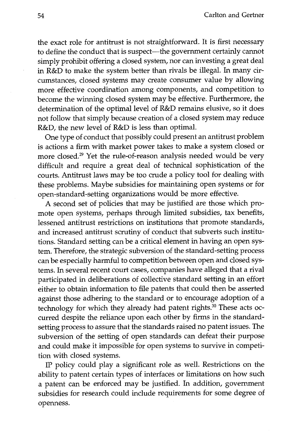the exact role for antitrust is not straightforward. It is first necessary to define the conduct that is suspect-the government certainly cannot simply prohibit offering a closed system, nor can investing a great deal in R&D to make the system better than rivals be illegal. In many circumstances, closed systems may create consumer value by allowing more effective coordination among components, and competition to become the winning closed system may be effective. Furthermore, the determination of the optimal level of R&D remains elusive, so it does not follow that simply because creation of a closed system may reduce R&D, the new level of R&D is less than optimal.

One type of conduct that possibly could present an antitrust problem is actions a firm with market power takes to make a system closed or more closed.<sup>29</sup> Yet the rule-of-reason analysis needed would be very difficult and require a great deal of technical sophistication of the courts. Antitrust laws may be too crude a policy tool for dealing with these problems. Maybe subsidies for maintaining open systems or for open-standard-setting organizations would be more effective.

A second set of policies that may be justified are those which promote open systems, perhaps through limited subsidies, tax benefits, lessened antitrust restrictions on institutions that promote standards, and increased antitrust scrutiny of conduct that subverts such institutions. Standard setting can be a critical element in having an open system. Therefore, the strategic subversion of the standard-setting process can be especially harmful to competition between open and closed systems. In several recent court cases, companies have alleged that a rival participated in deliberations of collective standard setting in an effort either to obtain information to file patents that could then be asserted against those adhering to the standard or to encourage adoption of a technology for which they already had patent rights.<sup>30</sup> These acts occurred despite the reliance upon each other by firms in the standardsetting process to assure that the standards raised no patent issues. The subversion of the setting of open standards can defeat their purpose and could make it impossible for open systems to survive in competition with closed systems.

IP policy could play a significant role as well. Restrictions on the ability to patent certain types of interfaces or limitations on how such a patent can be enforced may be justified. In addition, government subsidies for research could include requirements for some degree of openness.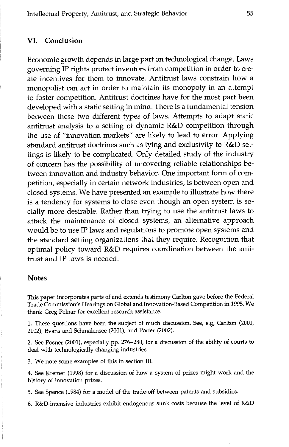# VI. Conclusion

Economic growth depends in large part on technological change. Laws governing IP rights protect inventors from competition in order to create incentives for them to innovate. Antitrust laws constrain how a monopolist can act in order to maintain its monopoly in an attempt to foster competition. Antitrust doctrines have for the most part been developed with a static setting in mind. There is a fundamental tension between these two different types of laws. Attempts to adapt static antitrust analysis to a setting of dynamic R&D competition through the use of "innovation markets" are likely to lead to error. Applying standard antitrust doctrines such as tying and exclusivity to R&D settings is likely to be complicated. Only detailed study of the industry of concern has the possibility of uncovering reliable relationships between innovation and industry behavior. One important form of competition, especially in certain network industries, is between open and closed systems. We have presented an example to illustrate how there is a tendency for systems to close even though an open system is socially more desirable. Rather than trying to use the antitrust laws to attack the maintenance of closed systems, an alternative approach would be to use IP laws and regulations to promote open systems and the standard setting organizations that they require. Recognition that optimal policy toward R&D requires coordination between the antitrust and IF laws is needed.

#### Notes

This paper incorporates parts of and extends testimony Canton gave before the Federal Trade Commission's Hearings on Global and Innovation-Based Competition in 1995. We thank Greg Pelnar for excellent research assistance.

1. These questions have been the subject of much discussion. See, e.g, Carlton (2001, 2002), Evans and Schmalensee (2001), and Porter (2002).

2. See Posner (2001), especially pp. 276-280, for a discussion of the ability of courts to deal with technologically changing industries.

We note some examples of this in section III.

4. See Kremer (1998) for a discussion of how a system of prizes might work and the history of innovation prizes.

See Spence (1984) for a model of the trade-off between patents and subsidies.

R&D-intensive industries exhibit endogenous sunk costs because the level of R&D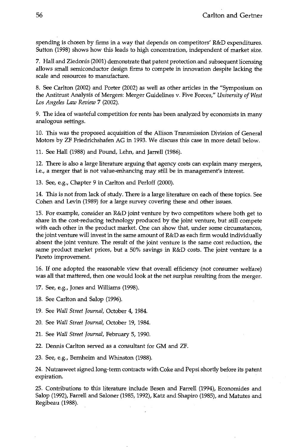spending is chosen by firms in a way that depends on competitors' R&D expenditures. Sutton (1998) shows how this leads to high concentration, independent of market size.

7. Hall and Ziedonis (2001) demonstrate that patent protection and subsequent licensing allows small semiconductor design firms to compete in innovation despite lacking the scale and resources to manufacture.

8. See Carlton (2002) and Porter (2002) as well as other articles in the "Symposium on the Antitrust Analysis of Mergers: Merger Guidelines v. Five Forces," University of West Los Angeles Law Review 7 (2002).

9. The idea of wasteful competition for rents has been analyzed by economists in many analogous settings.

This was the proposed acquisition of the Allison Transmission Division of General Motors by ZF Friedrichshafen AG in 1993. We discuss this case in more detail below.

11. See Hall (1988) and Pound, Lehn, and Jarrell (1986).

There is also a large literature arguing that agency costs can explain many mergers, i.e., a merger that is not value-enhancing may still be in management's interest.

13. See, e.g., Chapter 9 in Carlton and Perloff (2000).

This is not from lack of study. There is a large literature on each of these topics. See Cohen and Levin (1989) for a large survey covering these and other issues.

For example, consider an R&D joint venture by two competitors where both get to share in the cost-reducing technology produced by the joint venture, but still compete with each other in the product market. One can show that, under some circumstances, the joint venture will invest in the same amount of R&D as each firm would individually absent the joint venture. The result of the joint venture is the same cost reduction, the same product market prices, but a 50% savings in R&D costs. The joint venture is a Pareto improvement.

If one adopted the reasonable view that overall efficiency (not consumer welfare) was all that mattered, then one would look at the net surplus resulting from the merger.

17. See, e.g., Jones and Williams (1998).

18. See Carlton and Salop (1996).

19. See Wall Street Journal, October 4, 1984.

20. See Wall Street Journal, October 19, 1984.

21. See Wall Street Journal, February 5, 1990.

22. Dennis Carlton served as a consultant for GM and ZF.

23. See, e.g., Bernheim and Whinston (1988).

24. Nutrasweet signed long-term contracts with Coke and Pepsi shortly before its patent expiration.

Contributions to this literature include Besen and Farrell (1994), Economides and Salop (1992), Farrell and Saloner (1985, 1992), Katz and Shapiro (1985), and Matutes and Regibeau (1988).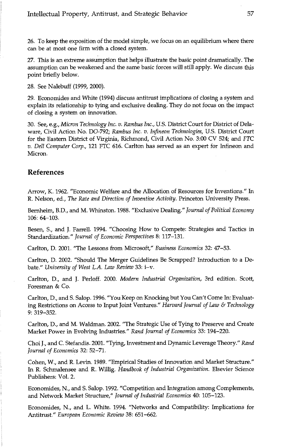To keep the exposition of the model simple, we focus on an equilibrium where there can be at most one firm with a closed system.

This is an extreme assumption that helps illustrate the basic point dramatically. The assumption can be weakened and the same basic forces will still apply. We discuss this point briefly below.

28. See Nalebuff (1999, 2000).

Economides and White (1994) discuss antitrust implications of closing a system and explain its relationship to tying and exclusive dealing. They do not focus on the impact of closing a system on innovation.

30. See, e.g., Micron Technology Inc. v. Rambus Inc., U.S. District Court for District of Delaware, Civil Action No. DO-792; Rambus Inc. v. Infineon Technologies, U.S. District Court for the Eastern District of Virginia, Richmond, Civil Action No. 3:00 CV 524; and FTC v. Dell Computer Corp., 121 FTC 616. Carlton has served as an expert for Infineon and Micron.

#### References

Arrow, K. 1962. "Economic Welfare and the Allocation of Resources for Inventions." In R. Nelson, ed., The Rate and Direction of Inventive Activity. Princeton University Press.

Bernheim, B.D., and M. Whinston. 1988. "Exclusive Dealing." Journal of Political Economy 106: 64-103.

Besen, S., and J. Farrell. 1994. "Choosing How to Compete: Strategies and Tactics in Standardization." Journal of Economic Perspectives 8: 117-131.

Carlton, D. 2001. "The Lessons from Microsoft," Business Economics 32: 47-53.

Carlton, D. 2002. "Should The Merger Guidelines Be Scrapped? Introduction to a Debate." University of West L.A. Law Review 33: i-v.

Carlton, D., and J. Perloff. 2000. Modern Industrial Organization, 3rd edition. Scott, Foresman & Co.

Carlton, D., and S. Salop. 1996. "You Keep on Knocking but You Can't Come In: Evaluating Restrictions on Access to Input Joint Ventures." Harvard Journal of Law & Technology 9: 319-352.

Carlton, D., and M. Waldman. 2002. "The Strategic Use of Tying to Preserve and Create Market Power in Evolving Industries." Rand Journal of Economics 33: 194-220.

Choi J., and C. Stefandis. 2001. "Tying, Investment and Dynamic Leverage Theory." Rand Journal of Economics 32: 52-71.

Cohen, W., and R. Levin. 1989. "Empirical Studies of Innovation and Market Structure." In R. Schmalensee and R.. Willig. Handbook of Industrial Organization. Elsevier Science Publishers: Vol. 2.

Economides, N., and S. Salop. 1992. "Competition and Integration among Complements, and Network Market Structure," Journal of Industrial Economics 40: 105-123.

Economides, N., and L. White. 1994. "Networks and Compatibility: Implications for Antitrust." European Economic Review 38: 651-662.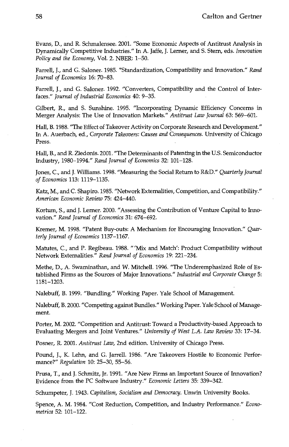Evans, D., and R. Schmalensee. 2001. "Some Economic Aspects of Antitrust Analysis in Dynamically Competitive Industries." In A. Jaffe, J. Lerner, and S. Stern, eds. Innovation Policy and the Economy, Vol. 2. NBER: 1-50.

Farrell, J., and G. Saloner. 1985. "Standardization, Compatibility and Innovation." Rand Journal of Economics 16: 70-83.

Farrell, J., and G. Saloner. 1992. "Converters, Compatibility and the Control of Interfaces." Journal of Industrial Economics 40: 9-35.

Gilbert, R., and S. Sunshine. 1995. "Incorporating Dynamic Efficiency Concerns in Merger Analysis: The Use of Innovation Markets." Antitrust Law Journal 63: 569-601.

Hall, B. 1988. "The Effect of Takeover Activity on Corporate Research and Development." In A. Auerbach, ed., Corporate Takeovers: Causes and Consequences. University of Chicago Press.

Hall, B., and R. Ziedonis. 2001. "The Determinants of Patenting in the U.S. Semiconductor Industry, 1980-1994." Rand Journal of Economics 32: 101-128.

Jones, C., and J. Williams. 1998. "Measuring the Social Return to R&D." Quarterly Journal of Economics 113: 1119-1135.

Katz, M., and C. Shapiro. 1985. "Network Externalities, Competition, and Compatibility." American Economic Review 75: 424-440.

Kortum, S., and J. Lerner. 2000. "Assessing the Contribution of Venture Capital to Innovation." Rand Journal of Economics 31: 674-692.

Kremer, M. 1998. "Patent Buy-outs: A Mechanism for Encouraging Innovation." Quarterly Journal of Economics 1137-1167.

Matutes, C., and P. Regibeau. 1988. "Mix and Match': Product Compatibility without Network Externalities." Rand Journal of Economics 19: 221-234.

Methe, D., A. Swaminathan, and W. Mitchell. 1996. "The Underemphasized Role of Established Firms as the Sources of Major Innovations." Industrial and Corporate Change 5: 1181-1203.

Nalebuff, B. 1999. "Bundling." Working Paper. Yale School of Management.

Nalebuff, B. 2000. "Competing against Bundles." Working Paper. Yale School of Management.

Porter, M. 2002. "Competition and Antitrust: Toward a Productivity-based Approach to Evaluating Mergers and Joint Ventures." University of West L.A. Law Review 33: 17-34.

Posner, R. 2001. Antitrust Law, 2nd edition. University of Chicago Press.

Pound, J., K. Lehn, and G. Jarrell. 1986. "Are Takeovers Hostile to Economic Performance?" Regulation 10: 25-30, 55-56.

Prusa, T., and J. Schmitz, Jr. 1991. "Are New Firms an Important Source of Innovation? Evidence from the PC Software Industry." Economic Letters 35: 339-342.

Schumpeter, J. 1943. Capitalism, Socialism and Democracy. Unwin University Books.

Spence, A. M. 1984. "Cost Reduction, Competition, and Industry Performance." Econometrica 52: 101-122.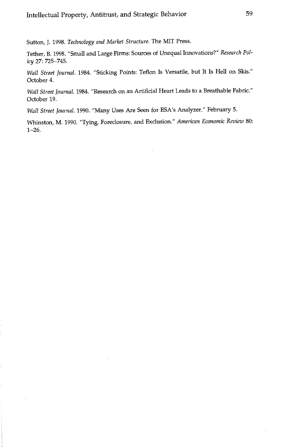Sutton, J. 1998. Technology and Market Structure. The MIT Press.

Tether, B. 1998. "Small and Large Firms: Sources of Unequal Innovations?" Research Policy 27: 725-745.

Wall Street Journal. 1984. "Sticking Points: Teflon Is Versatile, but It Is Hell on Skis." October 4.

Wall Street Journal. 1984. "Research on an Artificial Heart Leads to a Breathable Fabric." October 19.

Wall Street Journal. 1990. "Many Uses Are Seen for ESA's Analyzer." February 5.

Whinston, M. 1990. "Tying, Foreclosure, and Exclusion." American Economic Review 80: 1-26.